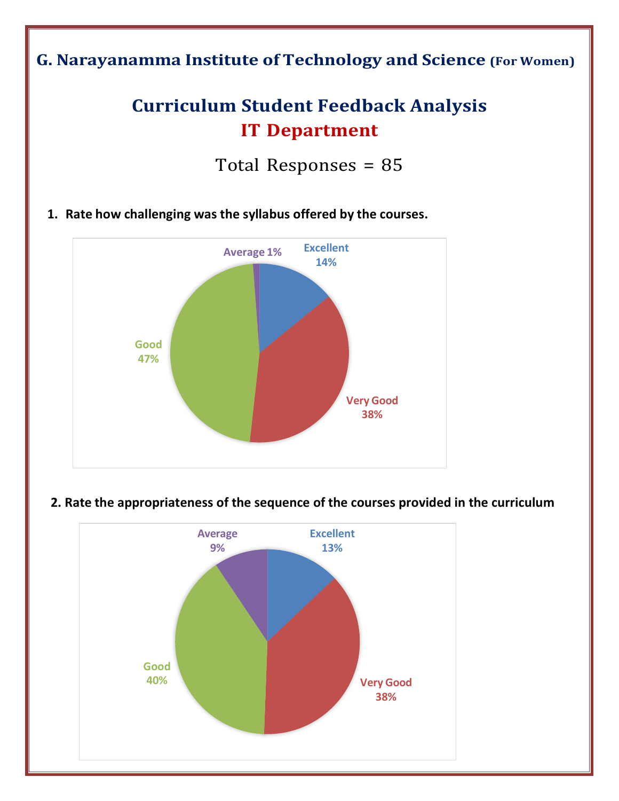## **G. Narayanamma Institute of Technology and Science (For Women)**

# **Curriculum Student Feedback Analysis IT Department**

Total Responses = 85

**1. Rate how challenging was the syllabus offered by the courses.**



#### **2. Rate the appropriateness of the sequence of the courses provided in the curriculum**

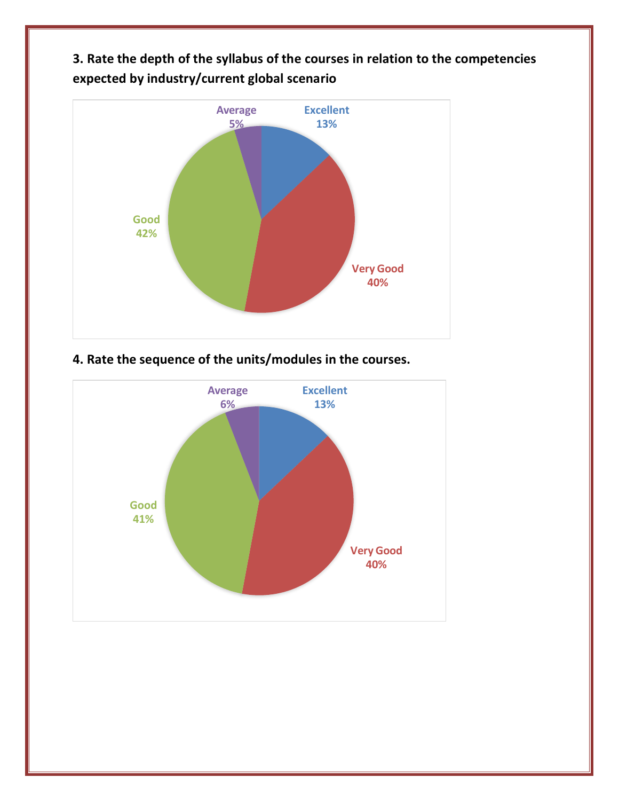**3. Rate the depth of the syllabus of the courses in relation to the competencies expected by industry/current global scenario**



## **4. Rate the sequence of the units/modules in the courses.**

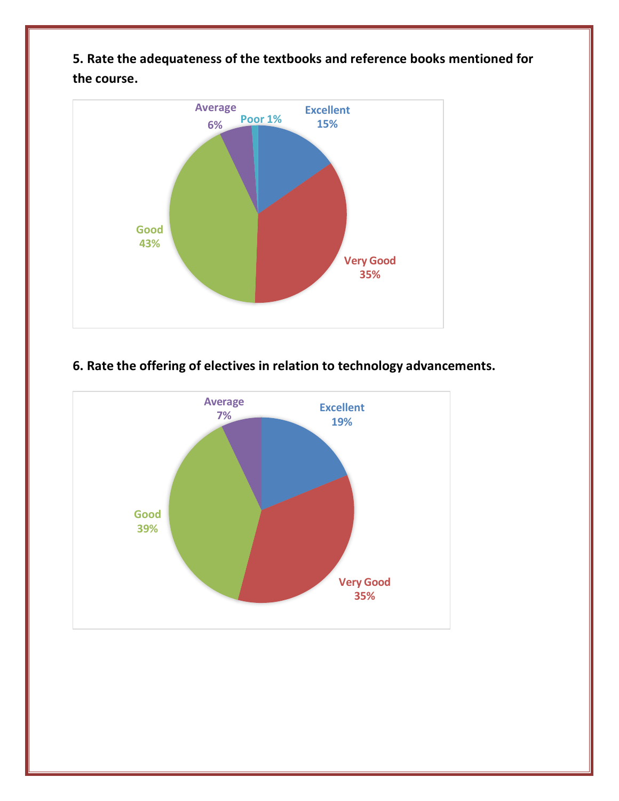**5. Rate the adequateness of the textbooks and reference books mentioned for the course.**



### **6. Rate the offering of electives in relation to technology advancements.**

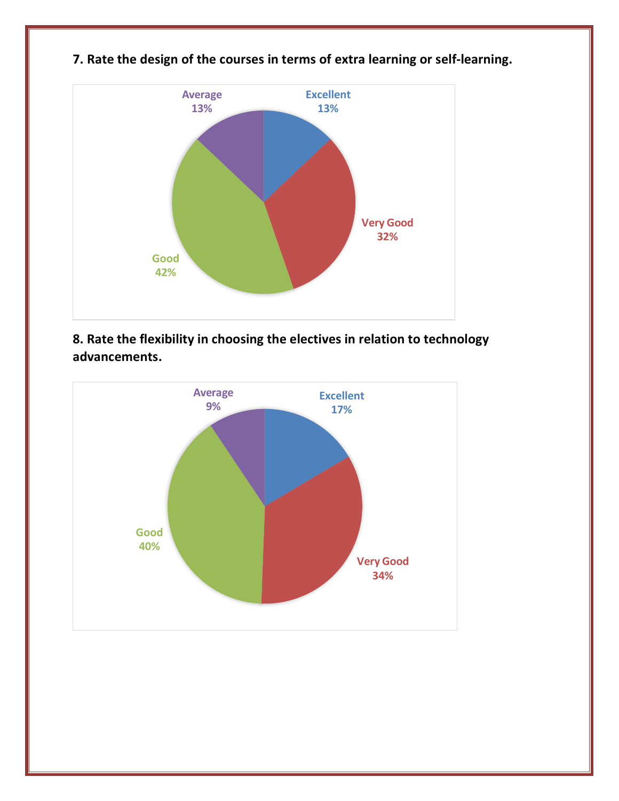

**7. Rate the design of the courses in terms of extra learning or self-learning.**

**8. Rate the flexibility in choosing the electives in relation to technology advancements.**